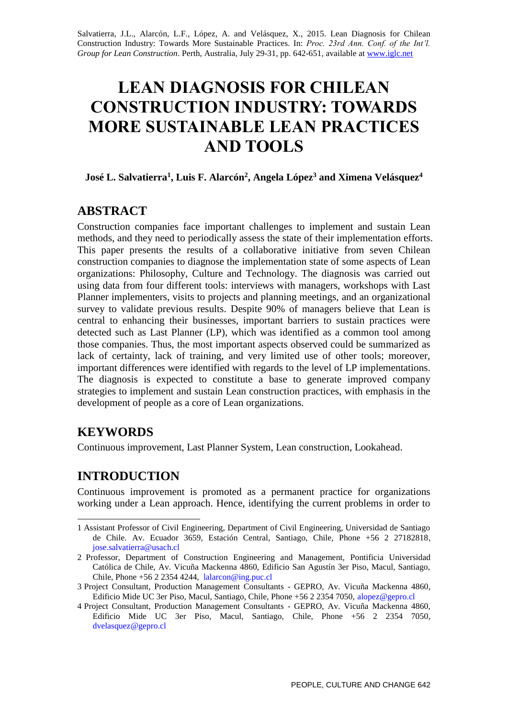Salvatierra, J.L., Alarcón, L.F., López, A. and Velásquez, X., 2015. Lean Diagnosis for Chilean Construction Industry: Towards More Sustainable Practices. In: *Proc. 23rd Ann. Conf. of the Int'l. Group for Lean Construction*. Perth, Australia, July 29-31, pp. 642-651, available at [www.iglc.net](http://www.iglc.net/)

# **LEAN DIAGNOSIS FOR CHILEAN CONSTRUCTION INDUSTRY: TOWARDS MORE SUSTAINABLE LEAN PRACTICES AND TOOLS**

**José L. Salvatierra<sup>1</sup> , Luis F. Alarcón<sup>2</sup> , Angela López<sup>3</sup> and Ximena Velásquez<sup>4</sup>**

### **ABSTRACT**

Construction companies face important challenges to implement and sustain Lean methods, and they need to periodically assess the state of their implementation efforts. This paper presents the results of a collaborative initiative from seven Chilean construction companies to diagnose the implementation state of some aspects of Lean organizations: Philosophy, Culture and Technology. The diagnosis was carried out using data from four different tools: interviews with managers, workshops with Last Planner implementers, visits to projects and planning meetings, and an organizational survey to validate previous results. Despite 90% of managers believe that Lean is central to enhancing their businesses, important barriers to sustain practices were detected such as Last Planner (LP), which was identified as a common tool among those companies. Thus, the most important aspects observed could be summarized as lack of certainty, lack of training, and very limited use of other tools; moreover, important differences were identified with regards to the level of LP implementations. The diagnosis is expected to constitute a base to generate improved company strategies to implement and sustain Lean construction practices, with emphasis in the development of people as a core of Lean organizations.

## **KEYWORDS**

Continuous improvement, Last Planner System, Lean construction, Lookahead.

# **INTRODUCTION**

Continuous improvement is promoted as a permanent practice for organizations working under a Lean approach. Hence, identifying the current problems in order to

<sup>-</sup>1 Assistant Professor of Civil Engineering, Department of Civil Engineering, Universidad de Santiago de Chile. Av. Ecuador 3659, Estación Central, Santiago, Chile, Phone +56 2 27182818, jose.salvatierra@usach.cl

<sup>2</sup> Professor, Department of Construction Engineering and Management, Pontificia Universidad Católica de Chile, Av. Vicuña Mackenna 4860, Edificio San Agustín 3er Piso, Macul, Santiago, Chile, Phone +56 2 2354 4244, lalarcon@ing.puc.cl

<sup>3</sup> Project Consultant, Production Management Consultants - GEPRO, Av. Vicuña Mackenna 4860, Edificio Mide UC 3er Piso, Macul, Santiago, Chile, Phone +56 2 2354 7050, alopez@gepro.cl

<sup>4</sup> Project Consultant, Production Management Consultants - GEPRO, Av. Vicuña Mackenna 4860, Edificio Mide UC 3er Piso, Macul, Santiago, Chile, Phone +56 2 2354 7050, dvelasquez@gepro.cl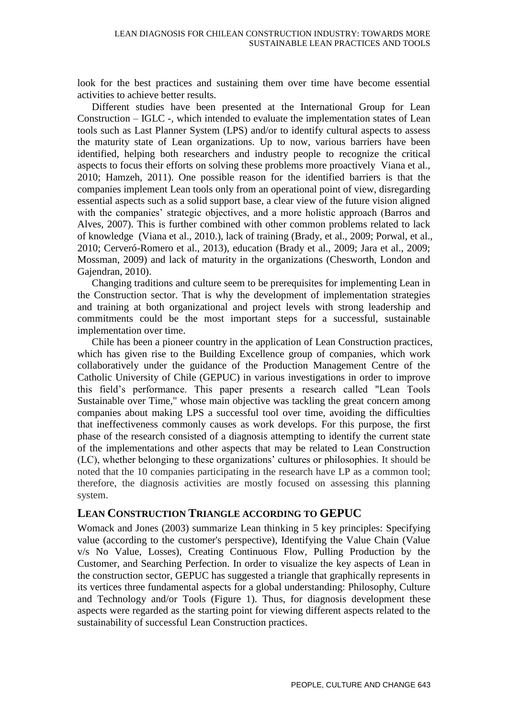look for the best practices and sustaining them over time have become essential activities to achieve better results.

Different studies have been presented at the International Group for Lean Construction – IGLC -, which intended to evaluate the implementation states of Lean tools such as Last Planner System (LPS) and/or to identify cultural aspects to assess the maturity state of Lean organizations. Up to now, various barriers have been identified, helping both researchers and industry people to recognize the critical aspects to focus their efforts on solving these problems more proactively Viana et al., 2010; Hamzeh, 2011). One possible reason for the identified barriers is that the companies implement Lean tools only from an operational point of view, disregarding essential aspects such as a solid support base, a clear view of the future vision aligned with the companies' strategic objectives, and a more holistic approach (Barros and Alves, 2007). This is further combined with other common problems related to lack of knowledge (Viana et al., 2010.), lack of training (Brady, et al., 2009; Porwal, et al., 2010; Cerveró-Romero et al., 2013), education (Brady et al., 2009; Jara et al., 2009; Mossman, 2009) and lack of maturity in the organizations (Chesworth, London and Gajendran, 2010).

Changing traditions and culture seem to be prerequisites for implementing Lean in the Construction sector. That is why the development of implementation strategies and training at both organizational and project levels with strong leadership and commitments could be the most important steps for a successful, sustainable implementation over time.

Chile has been a pioneer country in the application of Lean Construction practices, which has given rise to the Building Excellence group of companies, which work collaboratively under the guidance of the Production Management Centre of the Catholic University of Chile (GEPUC) in various investigations in order to improve this field's performance. This paper presents a research called "Lean Tools Sustainable over Time," whose main objective was tackling the great concern among companies about making LPS a successful tool over time, avoiding the difficulties that ineffectiveness commonly causes as work develops. For this purpose, the first phase of the research consisted of a diagnosis attempting to identify the current state of the implementations and other aspects that may be related to Lean Construction (LC), whether belonging to these organizations' cultures or philosophies. It should be noted that the 10 companies participating in the research have LP as a common tool; therefore, the diagnosis activities are mostly focused on assessing this planning system.

### **LEAN CONSTRUCTION TRIANGLE ACCORDING TO GEPUC**

Womack and Jones (2003) summarize Lean thinking in 5 key principles: Specifying value (according to the customer's perspective), Identifying the Value Chain (Value v/s No Value, Losses), Creating Continuous Flow, Pulling Production by the Customer, and Searching Perfection. In order to visualize the key aspects of Lean in the construction sector, GEPUC has suggested a triangle that graphically represents in its vertices three fundamental aspects for a global understanding: Philosophy, Culture and Technology and/or Tools (Figure 1). Thus, for diagnosis development these aspects were regarded as the starting point for viewing different aspects related to the sustainability of successful Lean Construction practices.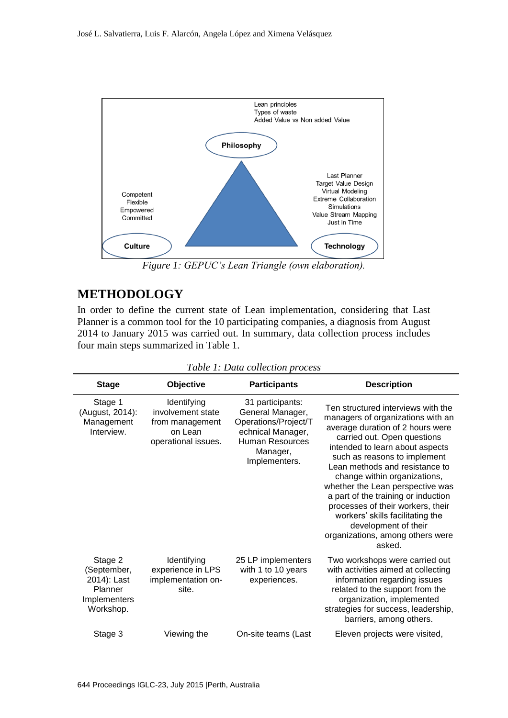

*Figure 1: GEPUC's Lean Triangle (own elaboration).* 

### **METHODOLOGY**

In order to define the current state of Lean implementation, considering that Last Planner is a common tool for the 10 participating companies, a diagnosis from August 2014 to January 2015 was carried out. In summary, data collection process includes four main steps summarized in Table 1.

| <b>Stage</b>                                                                  | Objective                                                                             | <b>Participants</b>                                                                                                                      | <b>Description</b>                                                                                                                                                                                                                                                                                                                                                                                                                                                                                        |
|-------------------------------------------------------------------------------|---------------------------------------------------------------------------------------|------------------------------------------------------------------------------------------------------------------------------------------|-----------------------------------------------------------------------------------------------------------------------------------------------------------------------------------------------------------------------------------------------------------------------------------------------------------------------------------------------------------------------------------------------------------------------------------------------------------------------------------------------------------|
| Stage 1<br>(August, 2014):<br>Management<br>Interview.                        | Identifying<br>involvement state<br>from management<br>on Lean<br>operational issues. | 31 participants:<br>General Manager,<br>Operations/Project/T<br>echnical Manager,<br><b>Human Resources</b><br>Manager,<br>Implementers. | Ten structured interviews with the<br>managers of organizations with an<br>average duration of 2 hours were<br>carried out. Open questions<br>intended to learn about aspects<br>such as reasons to implement<br>Lean methods and resistance to<br>change within organizations,<br>whether the Lean perspective was<br>a part of the training or induction<br>processes of their workers, their<br>workers' skills facilitating the<br>development of their<br>organizations, among others were<br>asked. |
| Stage 2<br>(September,<br>2014): Last<br>Planner<br>Implementers<br>Workshop. | Identifying<br>experience in LPS<br>implementation on-<br>site.                       | 25 LP implementers<br>with 1 to 10 years<br>experiences.                                                                                 | Two workshops were carried out<br>with activities aimed at collecting<br>information regarding issues<br>related to the support from the<br>organization, implemented<br>strategies for success, leadership,<br>barriers, among others.                                                                                                                                                                                                                                                                   |
| Stage 3                                                                       | Viewing the                                                                           | On-site teams (Last                                                                                                                      | Eleven projects were visited,                                                                                                                                                                                                                                                                                                                                                                                                                                                                             |

*Table 1: Data collection process*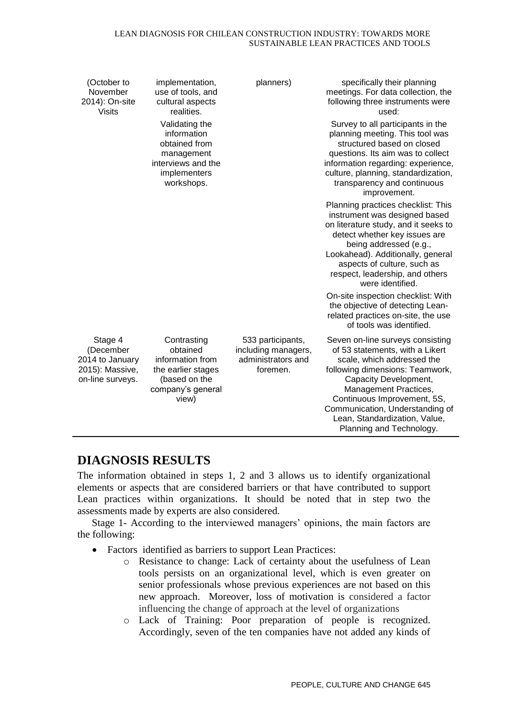#### LEAN DIAGNOSIS FOR CHILEAN CONSTRUCTION INDUSTRY: TOWARDS MORE SUSTAINABLE LEAN PRACTICES AND TOOLS

| (October to<br>November<br>2014): On-site<br>Visits                            | implementation,<br>use of tools, and<br>cultural aspects<br>realities.<br>Validating the<br>information<br>obtained from<br>management<br>interviews and the<br>implementers<br>workshops. | planners)                                                                  | specifically their planning<br>meetings. For data collection, the<br>following three instruments were<br>used:<br>Survey to all participants in the<br>planning meeting. This tool was<br>structured based on closed<br>questions. Its aim was to collect<br>information regarding: experience,<br>culture, planning, standardization,<br>transparency and continuous<br>improvement. |
|--------------------------------------------------------------------------------|--------------------------------------------------------------------------------------------------------------------------------------------------------------------------------------------|----------------------------------------------------------------------------|---------------------------------------------------------------------------------------------------------------------------------------------------------------------------------------------------------------------------------------------------------------------------------------------------------------------------------------------------------------------------------------|
|                                                                                |                                                                                                                                                                                            |                                                                            | Planning practices checklist: This<br>instrument was designed based<br>on literature study, and it seeks to<br>detect whether key issues are<br>being addressed (e.g.,<br>Lookahead). Additionally, general<br>aspects of culture, such as<br>respect, leadership, and others<br>were identified.                                                                                     |
|                                                                                |                                                                                                                                                                                            |                                                                            | On-site inspection checklist: With<br>the objective of detecting Lean-<br>related practices on-site, the use<br>of tools was identified.                                                                                                                                                                                                                                              |
| Stage 4<br>(December<br>2014 to January<br>2015): Massive,<br>on-line surveys. | Contrasting<br>obtained<br>information from<br>the earlier stages<br>(based on the<br>company's general<br>view)                                                                           | 533 participants,<br>including managers,<br>administrators and<br>foremen. | Seven on-line surveys consisting<br>of 53 statements, with a Likert<br>scale, which addressed the<br>following dimensions: Teamwork,<br>Capacity Development,<br>Management Practices,<br>Continuous Improvement, 5S,<br>Communication, Understanding of<br>Lean, Standardization, Value,<br>Planning and Technology.                                                                 |

## **DIAGNOSIS RESULTS**

The information obtained in steps 1, 2 and 3 allows us to identify organizational elements or aspects that are considered barriers or that have contributed to support Lean practices within organizations. It should be noted that in step two the assessments made by experts are also considered.

Stage 1- According to the interviewed managers' opinions, the main factors are the following:

- Factors identified as barriers to support Lean Practices:
	- o Resistance to change: Lack of certainty about the usefulness of Lean tools persists on an organizational level, which is even greater on senior professionals whose previous experiences are not based on this new approach. Moreover, loss of motivation is considered a factor influencing the change of approach at the level of organizations
	- o Lack of Training: Poor preparation of people is recognized. Accordingly, seven of the ten companies have not added any kinds of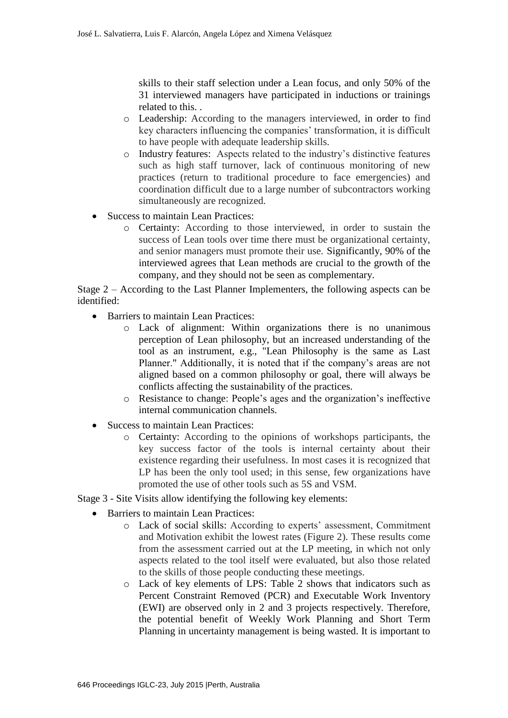skills to their staff selection under a Lean focus, and only 50% of the 31 interviewed managers have participated in inductions or trainings related to this. .

- o Leadership: According to the managers interviewed, in order to find key characters influencing the companies' transformation, it is difficult to have people with adequate leadership skills.
- o Industry features: Aspects related to the industry's distinctive features such as high staff turnover, lack of continuous monitoring of new practices (return to traditional procedure to face emergencies) and coordination difficult due to a large number of subcontractors working simultaneously are recognized.
- Success to maintain Lean Practices:
	- o Certainty: According to those interviewed, in order to sustain the success of Lean tools over time there must be organizational certainty, and senior managers must promote their use. Significantly, 90% of the interviewed agrees that Lean methods are crucial to the growth of the company, and they should not be seen as complementary.

Stage 2 – According to the Last Planner Implementers, the following aspects can be identified:

- Barriers to maintain Lean Practices:
	- o Lack of alignment: Within organizations there is no unanimous perception of Lean philosophy, but an increased understanding of the tool as an instrument, e.g., "Lean Philosophy is the same as Last Planner." Additionally, it is noted that if the company's areas are not aligned based on a common philosophy or goal, there will always be conflicts affecting the sustainability of the practices.
	- o Resistance to change: People's ages and the organization's ineffective internal communication channels.
- Success to maintain Lean Practices:
	- o Certainty: According to the opinions of workshops participants, the key success factor of the tools is internal certainty about their existence regarding their usefulness. In most cases it is recognized that LP has been the only tool used; in this sense, few organizations have promoted the use of other tools such as 5S and VSM.

Stage 3 - Site Visits allow identifying the following key elements:

- Barriers to maintain Lean Practices:
	- o Lack of social skills: According to experts' assessment, Commitment and Motivation exhibit the lowest rates (Figure 2). These results come from the assessment carried out at the LP meeting, in which not only aspects related to the tool itself were evaluated, but also those related to the skills of those people conducting these meetings.
	- o Lack of key elements of LPS: Table 2 shows that indicators such as Percent Constraint Removed (PCR) and Executable Work Inventory (EWI) are observed only in 2 and 3 projects respectively. Therefore, the potential benefit of Weekly Work Planning and Short Term Planning in uncertainty management is being wasted. It is important to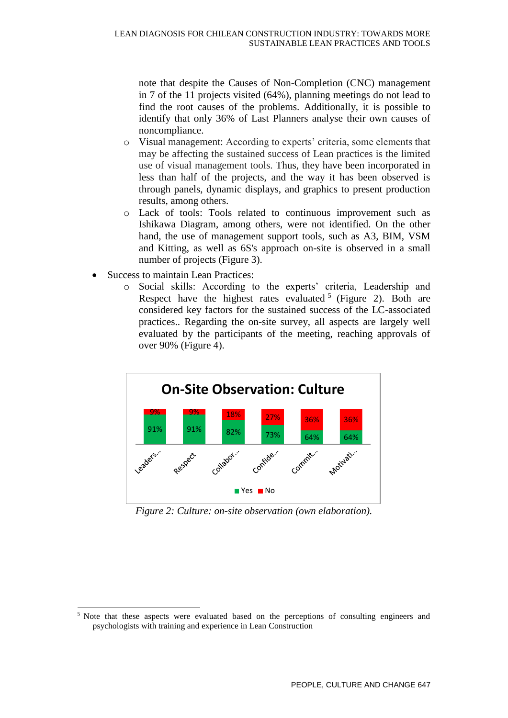note that despite the Causes of Non-Completion (CNC) management in 7 of the 11 projects visited (64%), planning meetings do not lead to find the root causes of the problems. Additionally, it is possible to identify that only 36% of Last Planners analyse their own causes of noncompliance.

- o Visual management: According to experts' criteria, some elements that may be affecting the sustained success of Lean practices is the limited use of visual management tools. Thus, they have been incorporated in less than half of the projects, and the way it has been observed is through panels, dynamic displays, and graphics to present production results, among others.
- o Lack of tools: Tools related to continuous improvement such as Ishikawa Diagram, among others, were not identified. On the other hand, the use of management support tools, such as A3, BIM, VSM and Kitting, as well as 6S's approach on-site is observed in a small number of projects (Figure 3).
- Success to maintain Lean Practices:

-

o Social skills: According to the experts' criteria, Leadership and Respect have the highest rates evaluated  $5$  (Figure 2). Both are considered key factors for the sustained success of the LC-associated practices.. Regarding the on-site survey, all aspects are largely well evaluated by the participants of the meeting, reaching approvals of over 90% (Figure 4).



*Figure 2: Culture: on-site observation (own elaboration).* 

<sup>&</sup>lt;sup>5</sup> Note that these aspects were evaluated based on the perceptions of consulting engineers and psychologists with training and experience in Lean Construction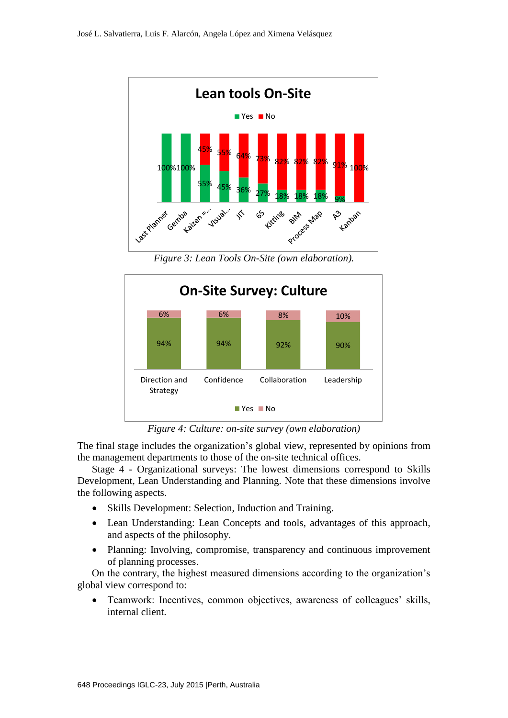

*Figure 3: Lean Tools On-Site (own elaboration).* 



*Figure 4: Culture: on-site survey (own elaboration)*

The final stage includes the organization's global view, represented by opinions from the management departments to those of the on-site technical offices.

Stage 4 - Organizational surveys: The lowest dimensions correspond to Skills Development, Lean Understanding and Planning. Note that these dimensions involve the following aspects.

- Skills Development: Selection, Induction and Training.
- Lean Understanding: Lean Concepts and tools, advantages of this approach, and aspects of the philosophy.
- Planning: Involving, compromise, transparency and continuous improvement of planning processes.

On the contrary, the highest measured dimensions according to the organization's global view correspond to:

 Teamwork: Incentives, common objectives, awareness of colleagues' skills, internal client.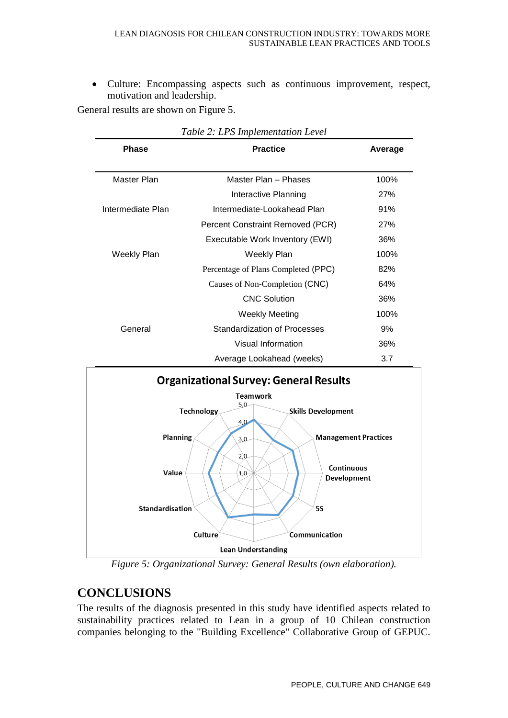Culture: Encompassing aspects such as continuous improvement, respect, motivation and leadership.

General results are shown on Figure 5.

| <b>Phase</b>      | <b>Practice</b>                     | Average |
|-------------------|-------------------------------------|---------|
| Master Plan       | Master Plan - Phases                | 100%    |
|                   | Interactive Planning                | 27%     |
| Intermediate Plan | Intermediate-Lookahead Plan         | 91%     |
|                   | Percent Constraint Removed (PCR)    | 27%     |
|                   | Executable Work Inventory (EWI)     | 36%     |
| Weekly Plan       | Weekly Plan                         | 100%    |
|                   | Percentage of Plans Completed (PPC) | 82%     |
|                   | Causes of Non-Completion (CNC)      | 64%     |
|                   | <b>CNC Solution</b>                 | 36%     |
|                   | Weekly Meeting                      | 100%    |
| General           | Standardization of Processes        | 9%      |
|                   | Visual Information                  | 36%     |
|                   | Average Lookahead (weeks)           | 3.7     |

*Table 2: LPS Implementation Level*



*Figure 5: Organizational Survey: General Results (own elaboration).*

# **CONCLUSIONS**

The results of the diagnosis presented in this study have identified aspects related to sustainability practices related to Lean in a group of 10 Chilean construction companies belonging to the "Building Excellence" Collaborative Group of GEPUC.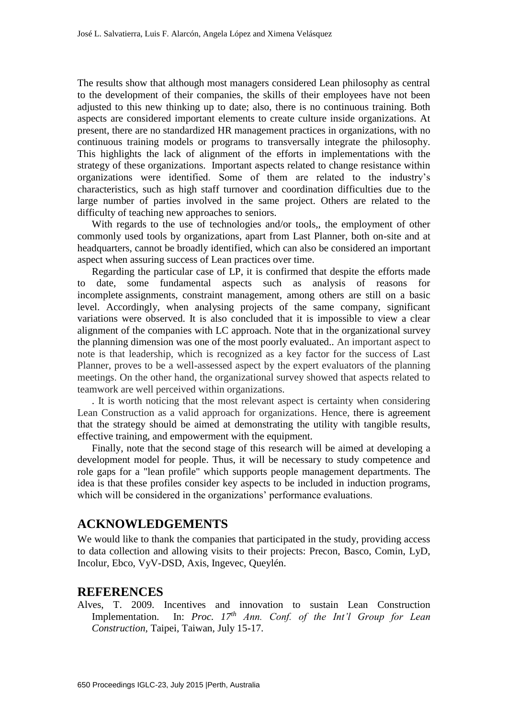The results show that although most managers considered Lean philosophy as central to the development of their companies, the skills of their employees have not been adjusted to this new thinking up to date; also, there is no continuous training. Both aspects are considered important elements to create culture inside organizations. At present, there are no standardized HR management practices in organizations, with no continuous training models or programs to transversally integrate the philosophy. This highlights the lack of alignment of the efforts in implementations with the strategy of these organizations. Important aspects related to change resistance within organizations were identified. Some of them are related to the industry's characteristics, such as high staff turnover and coordination difficulties due to the large number of parties involved in the same project. Others are related to the difficulty of teaching new approaches to seniors.

With regards to the use of technologies and/or tools,, the employment of other commonly used tools by organizations, apart from Last Planner, both on-site and at headquarters, cannot be broadly identified, which can also be considered an important aspect when assuring success of Lean practices over time.

Regarding the particular case of LP, it is confirmed that despite the efforts made to date, some fundamental aspects such as analysis of reasons for incomplete assignments, constraint management, among others are still on a basic level. Accordingly, when analysing projects of the same company, significant variations were observed. It is also concluded that it is impossible to view a clear alignment of the companies with LC approach. Note that in the organizational survey the planning dimension was one of the most poorly evaluated.. An important aspect to note is that leadership, which is recognized as a key factor for the success of Last Planner, proves to be a well-assessed aspect by the expert evaluators of the planning meetings. On the other hand, the organizational survey showed that aspects related to teamwork are well perceived within organizations.

. It is worth noticing that the most relevant aspect is certainty when considering Lean Construction as a valid approach for organizations. Hence, there is agreement that the strategy should be aimed at demonstrating the utility with tangible results, effective training, and empowerment with the equipment.

Finally, note that the second stage of this research will be aimed at developing a development model for people. Thus, it will be necessary to study competence and role gaps for a "lean profile" which supports people management departments. The idea is that these profiles consider key aspects to be included in induction programs, which will be considered in the organizations' performance evaluations.

### **ACKNOWLEDGEMENTS**

We would like to thank the companies that participated in the study, providing access to data collection and allowing visits to their projects: Precon, Basco, Comin, LyD, Incolur, Ebco, VyV-DSD, Axis, Ingevec, Queylén.

### **REFERENCES**

Alves, T. 2009. Incentives and innovation to sustain Lean Construction Implementation. In: *Proc. 17th Ann. Conf. of the Int'l Group for Lean Construction,* Taipei, Taiwan, July 15-17.